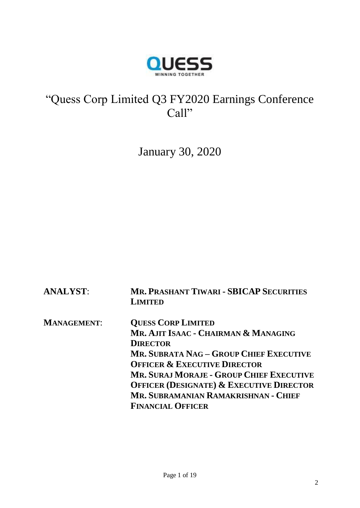

# "Quess Corp Limited Q3 FY2020 Earnings Conference Call"

January 30, 2020

| <b>ANALYST:</b>    | <b>MR. PRASHANT TIWARI - SBICAP SECURITIES</b><br><b>LIMITED</b> |
|--------------------|------------------------------------------------------------------|
| <b>MANAGEMENT:</b> | <b>QUESS CORP LIMITED</b>                                        |
|                    | MR. AJIT ISAAC - CHAIRMAN & MANAGING                             |
|                    | <b>DIRECTOR</b>                                                  |
|                    | <b>MR. SUBRATA NAG – GROUP CHIEF EXECUTIVE</b>                   |
|                    | <b>OFFICER &amp; EXECUTIVE DIRECTOR</b>                          |
|                    | <b>MR. SURAJ MORAJE - GROUP CHIEF EXECUTIVE</b>                  |
|                    | <b>OFFICER (DESIGNATE) &amp; EXECUTIVE DIRECTOR</b>              |
|                    | MR. SUBRAMANIAN RAMAKRISHNAN - CHIEF                             |
|                    | <b>FINANCIAL OFFICER</b>                                         |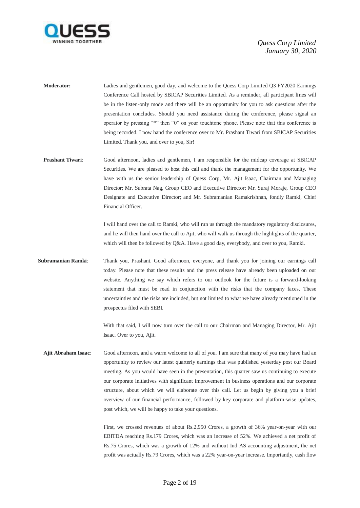

- **Moderator:** Ladies and gentlemen, good day, and welcome to the Quess Corp Limited Q3 FY2020 Earnings Conference Call hosted by SBICAP Securities Limited. As a reminder, all participant lines will be in the listen-only mode and there will be an opportunity for you to ask questions after the presentation concludes. Should you need assistance during the conference, please signal an operator by pressing "\*" then "0" on your touchtone phone. Please note that this conference is being recorded. I now hand the conference over to Mr. Prashant Tiwari from SBICAP Securities Limited. Thank you, and over to you, Sir!
- **Prashant Tiwari**: Good afternoon, ladies and gentlemen, I am responsible for the midcap coverage at SBICAP Securities. We are pleased to host this call and thank the management for the opportunity. We have with us the senior leadership of Quess Corp, Mr. Ajit Isaac, Chairman and Managing Director; Mr. Subrata Nag, Group CEO and Executive Director; Mr. Suraj Moraje, Group CEO Designate and Executive Director; and Mr. Subramanian Ramakrishnan, fondly Ramki, Chief Financial Officer.

I will hand over the call to Ramki, who will run us through the mandatory regulatory disclosures, and he will then hand over the call to Ajit, who will walk us through the highlights of the quarter, which will then be followed by Q&A. Have a good day, everybody, and over to you, Ramki.

**Subramanian Ramki**: Thank you, Prashant. Good afternoon, everyone, and thank you for joining our earnings call today. Please note that these results and the press release have already been uploaded on our website. Anything we say which refers to our outlook for the future is a forward-looking statement that must be read in conjunction with the risks that the company faces. These uncertainties and the risks are included, but not limited to what we have already mentioned in the prospectus filed with SEBI.

> With that said, I will now turn over the call to our Chairman and Managing Director, Mr. Ajit Isaac. Over to you, Ajit.

**Ajit Abraham Isaac**: Good afternoon, and a warm welcome to all of you. I am sure that many of you may have had an opportunity to review our latest quarterly earnings that was published yesterday post our Board meeting. As you would have seen in the presentation, this quarter saw us continuing to execute our corporate initiatives with significant improvement in business operations and our corporate structure, about which we will elaborate over this call. Let us begin by giving you a brief overview of our financial performance, followed by key corporate and platform-wise updates, post which, we will be happy to take your questions.

> First, we crossed revenues of about Rs.2,950 Crores, a growth of 36% year-on-year with our EBITDA reaching Rs.179 Crores, which was an increase of 52%. We achieved a net profit of Rs.75 Crores, which was a growth of 12% and without Ind AS accounting adjustment, the net profit was actually Rs.79 Crores, which was a 22% year-on-year increase. Importantly, cash flow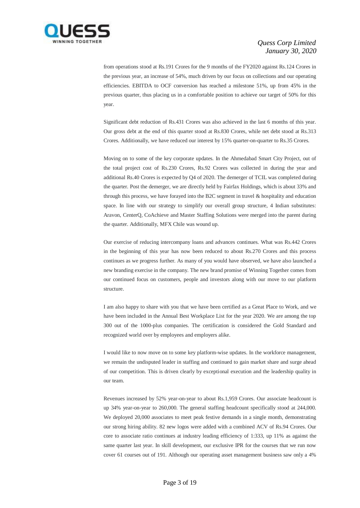

from operations stood at Rs.191 Crores for the 9 months of the FY2020 against Rs.124 Crores in the previous year, an increase of 54%, much driven by our focus on collections and our operating efficiencies. EBITDA to OCF conversion has reached a milestone 51%, up from 45% in the previous quarter, thus placing us in a comfortable position to achieve our target of 50% for this year.

Significant debt reduction of Rs.431 Crores was also achieved in the last 6 months of this year. Our gross debt at the end of this quarter stood at Rs.830 Crores, while net debt stood at Rs.313 Crores. Additionally, we have reduced our interest by 15% quarter-on-quarter to Rs.35 Crores.

Moving on to some of the key corporate updates. In the Ahmedabad Smart City Project, out of the total project cost of Rs.230 Crores, Rs.92 Crores was collected in during the year and additional Rs.40 Crores is expected by Q4 of 2020. The demerger of TCIL was completed during the quarter. Post the demerger, we are directly held by Fairfax Holdings, which is about 33% and through this process, we have forayed into the B2C segment in travel & hospitality and education space. In line with our strategy to simplify our overall group structure, 4 Indian substitutes: Aravon, CenterQ, CoAchieve and Master Staffing Solutions were merged into the parent during the quarter. Additionally, MFX Chile was wound up.

Our exercise of reducing intercompany loans and advances continues. What was Rs.442 Crores in the beginning of this year has now been reduced to about Rs.270 Crores and this process continues as we progress further. As many of you would have observed, we have also launched a new branding exercise in the company. The new brand promise of Winning Together comes from our continued focus on customers, people and investors along with our move to our platform structure.

I am also happy to share with you that we have been certified as a Great Place to Work, and we have been included in the Annual Best Workplace List for the year 2020. We are among the top 300 out of the 1000-plus companies. The certification is considered the Gold Standard and recognized world over by employees and employers alike.

I would like to now move on to some key platform-wise updates. In the workforce management, we remain the undisputed leader in staffing and continued to gain market share and surge ahead of our competition. This is driven clearly by exceptional execution and the leadership quality in our team.

Revenues increased by 52% year-on-year to about Rs.1,959 Crores. Our associate headcount is up 34% year-on-year to 260,000. The general staffing headcount specifically stood at 244,000. We deployed 20,000 associates to meet peak festive demands in a single month, demonstrating our strong hiring ability. 82 new logos were added with a combined ACV of Rs.94 Crores. Our core to associate ratio continues at industry leading efficiency of 1:333, up 11% as against the same quarter last year. In skill development, our exclusive IPR for the courses that we run now cover 61 courses out of 191. Although our operating asset management business saw only a 4%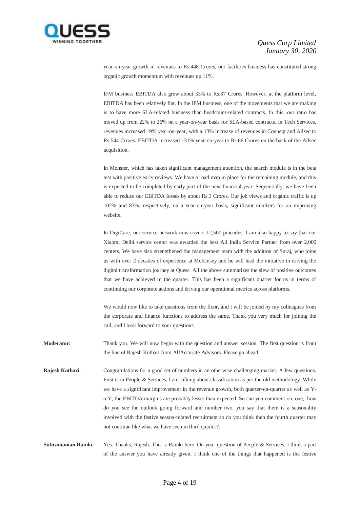

year-on-year growth in revenues to Rs.448 Crores, our facilities business has constituted strong organic growth momentum with revenues up 11%.

IFM business EBITDA also grew about 33% to Rs.37 Crores. However, at the platform level, EBITDA has been relatively flat. In the IFM business, one of the movements that we are making is to have more SLA-related business than headcount-related contracts. In this, our ratio has moved up from 22% to 26% on a year-on-year basis for SLA-based contracts. In Tech Services, revenues increased 19% year-on-year, with a 13% increase of revenues in Conneqt and Allsec to Rs.544 Crores. EBITDA increased 131% year-on-year to Rs.66 Crores on the back of the Allsec acquisition.

In Monster, which has taken significant management attention, the search module is in the beta test with positive early reviews. We have a road map in place for the remaining module, and this is expected to be completed by early part of the next financial year. Sequentially, we have been able to reduce our EBITDA losses by about Rs.3 Crores. Our job views and organic traffic is up 102% and 83%, respectively, on a year-on-year basis, significant numbers for an improving website.

In DigiCare, our service network now covers 12,500 pincodes. I am also happy to say that our Xiaomi Delhi service center was awarded the best All India Service Partner from over 2,000 centers. We have also strengthened the management team with the addition of Suraj, who joins us with over 2 decades of experience at McKinsey and he will lead the initiative in driving the digital transformation journey at Quess. All the above summarizes the slew of positive outcomes that we have achieved in the quarter. This has been a significant quarter for us in terms of continuing our corporate actions and driving our operational metrics across platforms.

We would now like to take questions from the floor, and I will be joined by my colleagues from the corporate and finance functions to address the same. Thank you very much for joining the call, and I look forward to your questions.

**Moderator:** Thank you. We will now begin with the question and answer session. The first question is from the line of Rajesh Kothari from AlfAccurate Advisors. Please go ahead.

**Rajesh Kothari:** Congratulations for a good set of numbers in an otherwise challenging market. A few questions. First is in People & Services, I am talking about classification as per the old methodology. While we have a significant improvement in the revenue growth, both quarter-on-quarter as well as Yo-Y, the EBITDA margins are probably lesser than expected. So can you comment on, one, how do you see the outlook going forward and number two, you say that there is a seasonality involved with the festive season-related recruitment so do you think then the fourth quarter may not continue like what we have seen in third quarter?.

**Subramanian Ramki**: Yes. Thanks, Rajesh. This is Ramki here. On your question of People & Services, I think a part of the answer you have already given. I think one of the things that happened is the festive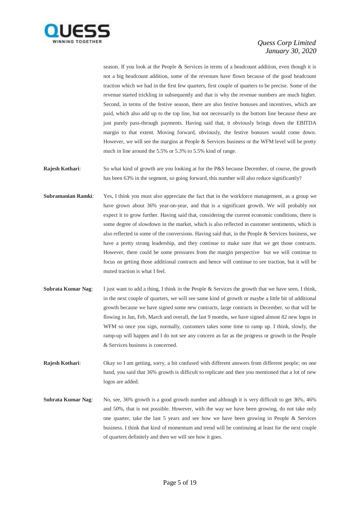

season. If you look at the People & Services in terms of a headcount addition, even though it is not a big headcount addition, some of the revenues have flown because of the good headcount traction which we had in the first few quarters, first couple of quarters to be precise. Some of the revenue started trickling in subsequently and that is why the revenue numbers are much higher. Second, in terms of the festive season, there are also festive bonuses and incentives, which are paid, which also add up to the top line, but not necessarily to the bottom line because these are just purely pass-through payments. Having said that, it obviously brings down the EBITDA margin to that extent. Moving forward, obviously, the festive bonuses would come down. However, we will see the margins at People & Services business or the WFM level will be pretty much in line around the 5.5% or 5.3% to 5.5% kind of range.

- **Rajesh Kothari:** So what kind of growth are you looking at for the P&S because December, of course, the growth has been 63% in the segment, so going forward, this number will also reduce significantly?
- **Subramanian Ramki**: Yes, I think you must also appreciate the fact that in the workforce management, as a group we have grown about 36% year-on-year, and that is a significant growth. We will probably not expect it to grow further. Having said that, considering the current economic conditions, there is some degree of slowdown in the market, which is also reflected in customer sentiments, which is also reflected in some of the conversions. Having said that, in the People & Services business, we have a pretty strong leadership, and they continue to make sure that we get those contracts. However, there could be some pressures from the margin perspective but we will continue to focus on getting those additional contracts and hence will continue to see traction, but it will be muted traction is what I feel.
- **Subrata Kumar Nag:** I just want to add a thing, I think in the People & Services the growth that we have seen, I think, in the next couple of quarters, we will see same kind of growth or maybe a little bit of additional growth because we have signed some new contracts, large contracts in December, so that will be flowing in Jan, Feb, March and overall, the last 9 months, we have signed almost 82 new logos in WFM so once you sign, normally, customers takes some time to ramp up. I think, slowly, the ramp-up will happen and I do not see any concern as far as the progress or growth in the People & Services business is concerned.

**Rajesh Kothari:** Okay so I am getting, sorry, a bit confused with different answers from different people; on one hand, you said that 36% growth is difficult to replicate and then you mentioned that a lot of new logos are added.

**Subrata Kumar Nag**: No, see, 36% growth is a good growth number and although it is very difficult to get 36%, 46% and 50%, that is not possible. However, with the way we have been growing, do not take only one quarter, take the last 5 years and see how we have been growing in People & Services business. I think that kind of momentum and trend will be continuing at least for the next couple of quarters definitely and then we will see how it goes.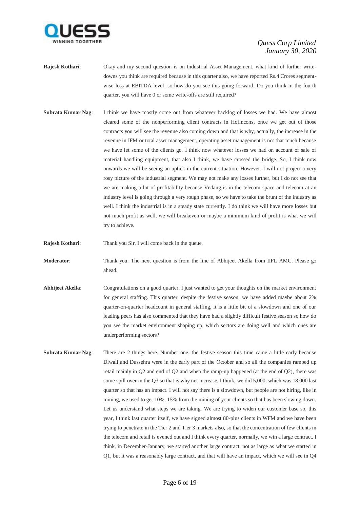

- **Rajesh Kothari**: Okay and my second question is on Industrial Asset Management, what kind of further writedowns you think are required because in this quarter also, we have reported Rs.4 Crores segmentwise loss at EBITDA level, so how do you see this going forward. Do you think in the fourth quarter, you will have 0 or some write-offs are still required?
- **Subrata Kumar Nag**: I think we have mostly come out from whatever backlog of losses we had. We have almost cleared some of the nonperforming client contracts in Hofincons, once we get out of those contracts you will see the revenue also coming down and that is why, actually, the increase in the revenue in IFM or total asset management, operating asset management is not that much because we have let some of the clients go. I think now whatever losses we had on account of sale of material handling equipment, that also I think, we have crossed the bridge. So, I think now onwards we will be seeing an uptick in the current situation. However, I will not project a very rosy picture of the industrial segment. We may not make any losses further, but I do not see that we are making a lot of profitability because Vedang is in the telecom space and telecom at an industry level is going through a very rough phase, so we have to take the brunt of the industry as well. I think the industrial is in a steady state currently. I do think we will have more losses but not much profit as well, we will breakeven or maybe a minimum kind of profit is what we will try to achieve.
- **Rajesh Kothari:** Thank you Sir. I will come back in the queue.
- **Moderator**: Thank you. The next question is from the line of Abhijeet Akella from IIFL AMC. Please go ahead.
- **Abhijeet Akella:** Congratulations on a good quarter. I just wanted to get your thoughts on the market environment for general staffing. This quarter, despite the festive season, we have added maybe about 2% quarter-on-quarter headcount in general staffing, it is a little bit of a slowdown and one of our leading peers has also commented that they have had a slightly difficult festive season so how do you see the market environment shaping up, which sectors are doing well and which ones are underperforming sectors?
- **Subrata Kumar Nag**: There are 2 things here. Number one, the festive season this time came a little early because Diwali and Dussehra were in the early part of the October and so all the companies ramped up retail mainly in Q2 and end of Q2 and when the ramp-up happened (at the end of Q2), there was some spill over in the Q3 so that is why net increase, I think, we did 5,000, which was 18,000 last quarter so that has an impact. I will not say there is a slowdown, but people are not hiring, like in mining, we used to get 10%, 15% from the mining of your clients so that has been slowing down. Let us understand what steps we are taking. We are trying to widen our customer base so, this year, I think last quarter itself, we have signed almost 80-plus clients in WFM and we have been trying to penetrate in the Tier 2 and Tier 3 markets also, so that the concentration of few clients in the telecom and retail is evened out and I think every quarter, normally, we win a large contract. I think, in December-January, we started another large contract, not as large as what we started in Q1, but it was a reasonably large contract, and that will have an impact, which we will see in Q4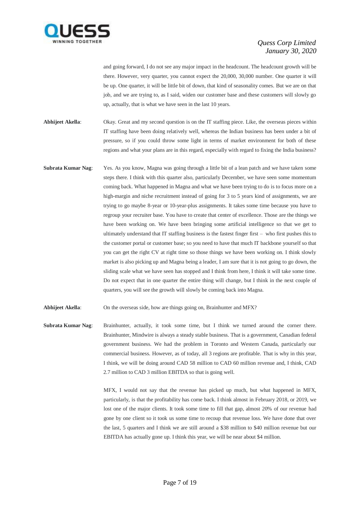

and going forward, I do not see any major impact in the headcount. The headcount growth will be there. However, very quarter, you cannot expect the 20,000, 30,000 number. One quarter it will be up. One quarter, it will be little bit of down, that kind of seasonality comes. But we are on that job, and we are trying to, as I said, widen our customer base and these customers will slowly go up, actually, that is what we have seen in the last 10 years.

**Abhijeet Akella**: Okay. Great and my second question is on the IT staffing piece. Like, the overseas pieces within IT staffing have been doing relatively well, whereas the Indian business has been under a bit of pressure, so if you could throw some light in terms of market environment for both of these regions and what your plans are in this regard, especially with regard to fixing the India business?

**Subrata Kumar Nag**: Yes. As you know, Magna was going through a little bit of a lean patch and we have taken some steps there. I think with this quarter also, particularly December, we have seen some momentum coming back. What happened in Magna and what we have been trying to do is to focus more on a high-margin and niche recruitment instead of going for 3 to 5 years kind of assignments, we are trying to go maybe 8-year or 10-year-plus assignments. It takes some time because you have to regroup your recruiter base. You have to create that center of excellence. Those are the things we have been working on. We have been bringing some artificial intelligence so that we get to ultimately understand that IT staffing business is the fastest finger first – who first pushes this to the customer portal or customer base; so you need to have that much IT backbone yourself so that you can get the right CV at right time so those things we have been working on. I think slowly market is also picking up and Magna being a leader, I am sure that it is not going to go down, the sliding scale what we have seen has stopped and I think from here, I think it will take some time. Do not expect that in one quarter the entire thing will change, but I think in the next couple of quarters, you will see the growth will slowly be coming back into Magna.

**Abhijeet Akella:** On the overseas side, how are things going on, Brainhunter and MFX?

**Subrata Kumar Nag**: Brainhunter, actually, it took some time, but I think we turned around the corner there. Brainhunter, Mindwire is always a steady stable business. That is a government, Canadian federal government business. We had the problem in Toronto and Western Canada, particularly our commercial business. However, as of today, all 3 regions are profitable. That is why in this year, I think, we will be doing around CAD 58 million to CAD 60 million revenue and, I think, CAD 2.7 million to CAD 3 million EBITDA so that is going well.

> MFX, I would not say that the revenue has picked up much, but what happened in MFX, particularly, is that the profitability has come back. I think almost in February 2018, or 2019, we lost one of the major clients. It took some time to fill that gap, almost 20% of our revenue had gone by one client so it took us some time to recoup that revenue loss. We have done that over the last, 5 quarters and I think we are still around a \$38 million to \$40 million revenue but our EBITDA has actually gone up. I think this year, we will be near about \$4 million.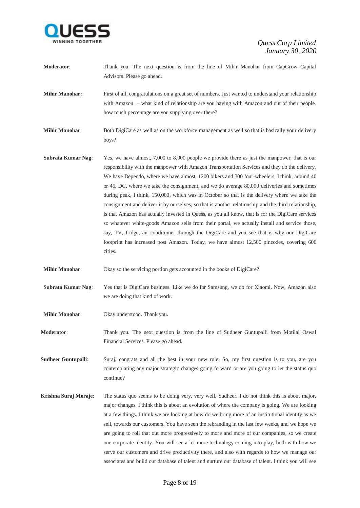

**Moderator**: Thank you. The next question is from the line of Mihir Manohar from CapGrow Capital Advisors. Please go ahead.

**Mihir Manohar:** First of all, congratulations on a great set of numbers. Just wanted to understand your relationship with Amazon – what kind of relationship are you having with Amazon and out of their people, how much percentage are you supplying over there?

**Mihir Manohar:** Both DigiCare as well as on the workforce management as well so that is basically your delivery boys?

**Subrata Kumar Nag:** Yes, we have almost, 7,000 to 8,000 people we provide there as just the manpower, that is our responsibility with the manpower with Amazon Transportation Services and they do the delivery. We have Dependo, where we have almost, 1200 bikers and 300 four-wheelers, I think, around 40 or 45, DC, where we take the consignment, and we do average 80,000 deliveries and sometimes during peak, I think, 150,000, which was in October so that is the delivery where we take the consignment and deliver it by ourselves, so that is another relationship and the third relationship, is that Amazon has actually invested in Quess, as you all know, that is for the DigiCare services so whatever white-goods Amazon sells from their portal, we actually install and service those, say, TV, fridge, air conditioner through the DigiCare and you see that is why our DigiCare footprint has increased post Amazon. Today, we have almost 12,500 pincodes, covering 600 cities.

**Mihir Manohar:** Okay so the servicing portion gets accounted in the books of DigiCare?

**Subrata Kumar Nag**: Yes that is DigiCare business. Like we do for Samsung, we do for Xiaomi. Now, Amazon also we are doing that kind of work.

**Mihir Manohar**: Okay understood. Thank you.

**Moderator**: Thank you. The next question is from the line of Sudheer Guntupalli from Motilal Oswal Financial Services. Please go ahead.

**Sudheer Guntupalli**: Suraj, congrats and all the best in your new role. So, my first question is to you, are you contemplating any major strategic changes going forward or are you going to let the status quo continue?

**Krishna Suraj Moraje**: The status quo seems to be doing very, very well, Sudheer. I do not think this is about major, major changes. I think this is about an evolution of where the company is going. We are looking at a few things. I think we are looking at how do we bring more of an institutional identity as we sell, towards our customers. You have seen the rebranding in the last few weeks, and we hope we are going to roll that out more progressively to more and more of our companies, so we create one corporate identity. You will see a lot more technology coming into play, both with how we serve our customers and drive productivity there, and also with regards to how we manage our associates and build our database of talent and nurture our database of talent. I think you will see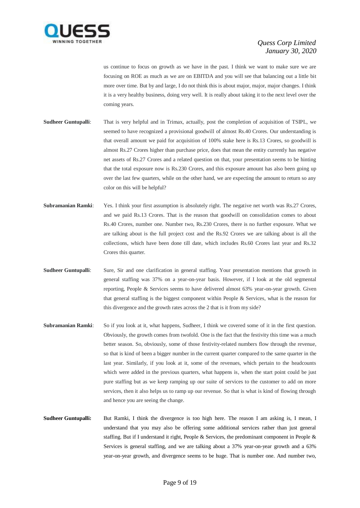

us continue to focus on growth as we have in the past. I think we want to make sure we are focusing on ROE as much as we are on EBITDA and you will see that balancing out a little bit more over time. But by and large, I do not think this is about major, major, major changes. I think it is a very healthy business, doing very well. It is really about taking it to the next level over the coming years.

- **Sudheer Guntupalli**: That is very helpful and in Trimax, actually, post the completion of acquisition of TSIPL, we seemed to have recognized a provisional goodwill of almost Rs.40 Crores. Our understanding is that overall amount we paid for acquisition of 100% stake here is Rs.13 Crores, so goodwill is almost Rs.27 Crores higher than purchase price, does that mean the entity currently has negative net assets of Rs.27 Crores and a related question on that, your presentation seems to be hinting that the total exposure now is Rs.230 Crores, and this exposure amount has also been going up over the last few quarters, while on the other hand, we are expecting the amount to return so any color on this will be helpful?
- **Subramanian Ramki**: Yes. I think your first assumption is absolutely right. The negative net worth was Rs.27 Crores, and we paid Rs.13 Crores. That is the reason that goodwill on consolidation comes to about Rs.40 Crores, number one. Number two, Rs.230 Crores, there is no further exposure. What we are talking about is the full project cost and the Rs.92 Crores we are talking about is all the collections, which have been done till date, which includes Rs.60 Crores last year and Rs.32 Crores this quarter.
- **Sudheer Guntupalli**: Sure, Sir and one clarification in general staffing. Your presentation mentions that growth in general staffing was 37% on a year-on-year basis. However, if I look at the old segmental reporting, People & Services seems to have delivered almost 63% year-on-year growth. Given that general staffing is the biggest component within People & Services, what is the reason for this divergence and the growth rates across the 2 that is it from my side?
- **Subramanian Ramki**: So if you look at it, what happens, Sudheer, I think we covered some of it in the first question. Obviously, the growth comes from twofold. One is the fact that the festivity this time was a much better season. So, obviously, some of those festivity-related numbers flow through the revenue, so that is kind of been a bigger number in the current quarter compared to the same quarter in the last year. Similarly, if you look at it, some of the revenues, which pertain to the headcounts which were added in the previous quarters, what happens is, when the start point could be just pure staffing but as we keep ramping up our suite of services to the customer to add on more services, then it also helps us to ramp up our revenue. So that is what is kind of flowing through and hence you are seeing the change.
- **Sudheer Guntupalli:** But Ramki, I think the divergence is too high here. The reason I am asking is, I mean, I understand that you may also be offering some additional services rather than just general staffing. But if I understand it right, People & Services, the predominant component in People & Services is general staffing, and we are talking about a 37% year-on-year growth and a 63% year-on-year growth, and divergence seems to be huge. That is number one. And number two,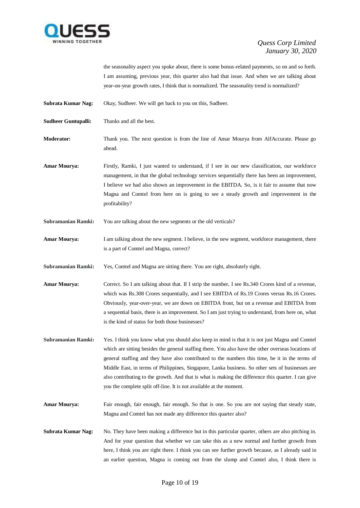

the seasonality aspect you spoke about, there is some bonus-related payments, so on and so forth. I am assuming, previous year, this quarter also had that issue. And when we are talking about year-on-year growth rates, I think that is normalized. The seasonality trend is normalized?

**Subrata Kumar Nag:** Okay, Sudheer. We will get back to you on this, Sudheer.

**Sudheer Guntupalli:** Thanks and all the best.

**Moderator:** Thank you. The next question is from the line of Amar Mourya from AlfAccurate. Please go ahead.

**Amar Mourya:** Firstly, Ramki, I just wanted to understand, if I see in our new classification, our workforce management, in that the global technology services sequentially there has been an improvement, I believe we had also shown an improvement in the EBITDA. So, is it fair to assume that now Magna and Comtel from here on is going to see a steady growth and improvement in the profitability?

**Subramanian Ramki:** You are talking about the new segments or the old verticals?

**Amar Mourya:** I am talking about the new segment. I believe, in the new segment, workforce management, there is a part of Comtel and Magna, correct?

**Subramanian Ramki:** Yes, Comtel and Magna are sitting there. You are right, absolutely right.

**Amar Mourya:** Correct. So I am talking about that. If I strip the number, I see Rs.340 Crores kind of a revenue, which was Rs.308 Crores sequentially, and I see EBITDA of Rs.19 Crores versus Rs.16 Crores. Obviously, year-over-year, we are down on EBITDA front, but on a revenue and EBITDA from a sequential basis, there is an improvement. So I am just trying to understand, from here on, what is the kind of status for both those businesses?

**Subramanian Ramki:** Yes. I think you know what you should also keep in mind is that it is not just Magna and Comtel which are sitting besides the general staffing there. You also have the other overseas locations of general staffing and they have also contributed to the numbers this time, be it in the terms of Middle East, in terms of Philippines, Singapore, Lanka business. So other sets of businesses are also contributing to the growth. And that is what is making the difference this quarter. I can give you the complete split off-line. It is not available at the moment.

**Amar Mourya:** Fair enough, fair enough, fair enough. So that is one. So you are not saying that steady state, Magna and Comtel has not made any difference this quarter also?

**Subrata Kumar Nag:** No. They have been making a difference but in this particular quarter, others are also pitching in. And for your question that whether we can take this as a new normal and further growth from here, I think you are right there. I think you can see further growth because, as I already said in an earlier question, Magna is coming out from the slump and Comtel also, I think there is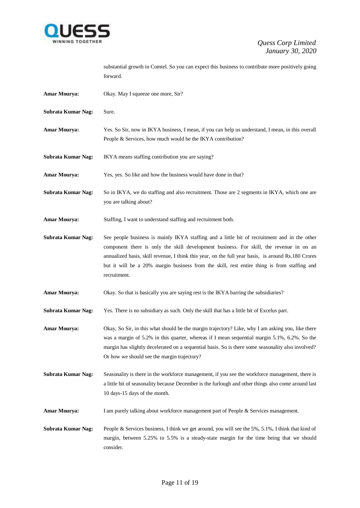

substantial growth in Comtel. So you can expect this business to contribute more positively going forward.

- **Amar Mourya:** Okay. May I squeeze one more, Sir?
- **Subrata Kumar Nag:** Sure.
- **Amar Mourya:** Yes. So Sir, now in IKYA business, I mean, if you can help us understand, I mean, in this overall People & Services, how much would be the IKYA contribution?
- **Subrata Kumar Nag:** IKYA means staffing contribution you are saying?
- **Amar Mourya:** Yes, yes. So like and how the business would have done in that?
- **Subrata Kumar Nag:** So in IKYA, we do staffing and also recruitment. Those are 2 segments in IKYA, which one are you are talking about?
- **Amar Mourya:** Staffing, I want to understand staffing and recruitment both.
- **Subrata Kumar Nag:** See people business is mainly IKYA staffing and a little bit of recruitment and in the other component there is only the skill development business. For skill, the revenue in on an annualized basis, skill revenue, I think this year, on the full year basis, is around Rs.180 Crores but it will be a 20% margin business from the skill, rest entire thing is from staffing and recruitment.
- **Amar Mourya:** Okay. So that is basically you are saying rest is the IKYA barring the subsidiaries?
- **Subrata Kumar Nag:** Yes. There is no subsidiary as such. Only the skill that has a little bit of Excelus part.
- **Amar Mourya:** Okay, So Sir, in this what should be the margin trajectory? Like, why I am asking you, like there was a margin of 5.2% in this quarter, whereas if I mean sequential margin 5.1%, 6.2%. So the margin has slightly decelerated on a sequential basis. So is there some seasonality also involved? Or how we should see the margin trajectory?
- **Subrata Kumar Nag:** Seasonality is there in the workforce management, if you see the workforce management, there is a little bit of seasonality because December is the furlough and other things also come around last 10 days-15 days of the month.
- **Amar Mourya:** I am purely talking about workforce management part of People & Services management.
- **Subrata Kumar Nag:** People & Services business, I think we get around, you will see the 5%, 5.1%, I think that kind of margin, between 5.25% to 5.5% is a steady-state margin for the time being that we should consider.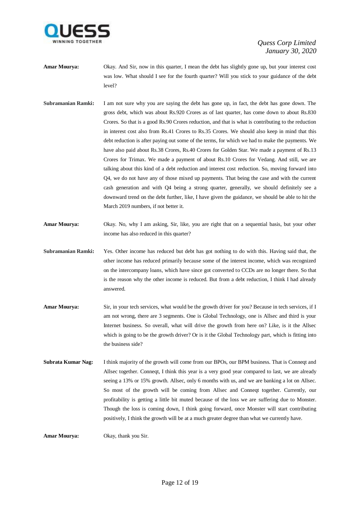

- **Amar Mourya:** Okay. And Sir, now in this quarter, I mean the debt has slightly gone up, but your interest cost was low. What should I see for the fourth quarter? Will you stick to your guidance of the debt level?
- **Subramanian Ramki:** I am not sure why you are saying the debt has gone up, in fact, the debt has gone down. The gross debt, which was about Rs.920 Crores as of last quarter, has come down to about Rs.830 Crores. So that is a good Rs.90 Crores reduction, and that is what is contributing to the reduction in interest cost also from Rs.41 Crores to Rs.35 Crores. We should also keep in mind that this debt reduction is after paying out some of the terms, for which we had to make the payments. We have also paid about Rs.38 Crores, Rs.40 Crores for Golden Star. We made a payment of Rs.13 Crores for Trimax. We made a payment of about Rs.10 Crores for Vedang. And still, we are talking about this kind of a debt reduction and interest cost reduction. So, moving forward into Q4, we do not have any of those mixed up payments. That being the case and with the current cash generation and with Q4 being a strong quarter, generally, we should definitely see a downward trend on the debt further, like, I have given the guidance, we should be able to hit the March 2019 numbers, if not better it.
- **Amar Mourya:** Okay. No, why I am asking, Sir, like, you are right that on a sequential basis, but your other income has also reduced in this quarter?
- **Subramanian Ramki:** Yes. Other income has reduced but debt has got nothing to do with this. Having said that, the other income has reduced primarily because some of the interest income, which was recognized on the intercompany loans, which have since got converted to CCDs are no longer there. So that is the reason why the other income is reduced. But from a debt reduction, I think I had already answered.
- **Amar Mourya:** Sir, in your tech services, what would be the growth driver for you? Because in tech services, if I am not wrong, there are 3 segments. One is Global Technology, one is Allsec and third is your Internet business. So overall, what will drive the growth from here on? Like, is it the Allsec which is going to be the growth driver? Or is it the Global Technology part, which is fitting into the business side?
- **Subrata Kumar Nag:** I think majority of the growth will come from our BPOs, our BPM business. That is Conneqt and Allsec together. Conneqt, I think this year is a very good year compared to last, we are already seeing a 13% or 15% growth. Allsec, only 6 months with us, and we are banking a lot on Allsec. So most of the growth will be coming from Allsec and Conneqt together. Currently, our profitability is getting a little bit muted because of the loss we are suffering due to Monster. Though the loss is coming down, I think going forward, once Monster will start contributing positively, I think the growth will be at a much greater degree than what we currently have.

**Amar Mourya:** Okay, thank you Sir.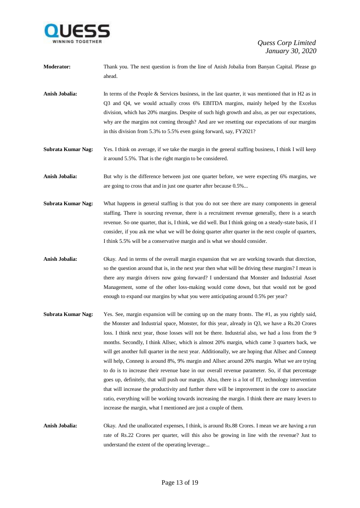

- **Moderator:** Thank you. The next question is from the line of Anish Jobalia from Banyan Capital. Please go ahead.
- **Anish Jobalia:** In terms of the People & Services business, in the last quarter, it was mentioned that in H2 as in Q3 and Q4, we would actually cross 6% EBITDA margins, mainly helped by the Excelus division, which has 20% margins. Despite of such high growth and also, as per our expectations, why are the margins not coming through? And are we resetting our expectations of our margins in this division from 5.3% to 5.5% even going forward, say, FY2021?
- **Subrata Kumar Nag:** Yes. I think on average, if we take the margin in the general staffing business, I think I will keep it around 5.5%. That is the right margin to be considered.

Anish Jobalia: But why is the difference between just one quarter before, we were expecting 6% margins, we are going to cross that and in just one quarter after because 0.5%...

- **Subrata Kumar Nag:** What happens in general staffing is that you do not see there are many components in general staffing. There is sourcing revenue, there is a recruitment revenue generally, there is a search revenue. So one quarter, that is, I think, we did well. But I think going on a steady-state basis, if I consider, if you ask me what we will be doing quarter after quarter in the next couple of quarters, I think 5.5% will be a conservative margin and is what we should consider.
- **Anish Jobalia:** Okay. And in terms of the overall margin expansion that we are working towards that direction, so the question around that is, in the next year then what will be driving these margins? I mean is there any margin drivers now going forward? I understand that Monster and Industrial Asset Management, some of the other loss-making would come down, but that would not be good enough to expand our margins by what you were anticipating around 0.5% per year?
- **Subrata Kumar Nag:** Yes. See, margin expansion will be coming up on the many fronts. The #1, as you rightly said, the Monster and Industrial space, Monster, for this year, already in Q3, we have a Rs.20 Crores loss. I think next year, those losses will not be there. Industrial also, we had a loss from the 9 months. Secondly, I think Allsec, which is almost 20% margin, which came 3 quarters back, we will get another full quarter in the next year. Additionally, we are hoping that Allsec and Conneqt will help, Conneqt is around 8%, 9% margin and Allsec around 20% margin. What we are trying to do is to increase their revenue base in our overall revenue parameter. So, if that percentage goes up, definitely, that will push our margin. Also, there is a lot of IT, technology intervention that will increase the productivity and further there will be improvement in the core to associate ratio, everything will be working towards increasing the margin. I think there are many levers to increase the margin, what I mentioned are just a couple of them.
- **Anish Jobalia:** Okay. And the unallocated expenses, I think, is around Rs.88 Crores. I mean we are having a run rate of Rs.22 Crores per quarter, will this also be growing in line with the revenue? Just to understand the extent of the operating leverage...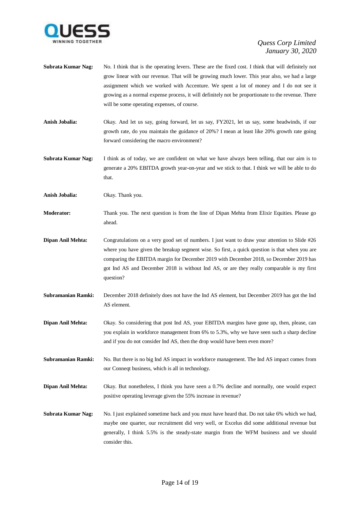

- **Subrata Kumar Nag:** No. I think that is the operating levers. These are the fixed cost. I think that will definitely not grow linear with our revenue. That will be growing much lower. This year also, we had a large assignment which we worked with Accenture. We spent a lot of money and I do not see it growing as a normal expense process, it will definitely not be proportionate to the revenue. There will be some operating expenses, of course.
- **Anish Jobalia:** Okay. And let us say, going forward, let us say, FY2021, let us say, some headwinds, if our growth rate, do you maintain the guidance of 20%? I mean at least like 20% growth rate going forward considering the macro environment?
- **Subrata Kumar Nag:** I think as of today, we are confident on what we have always been telling, that our aim is to generate a 20% EBITDA growth year-on-year and we stick to that. I think we will be able to do that.

**Anish Jobalia:** Okay. Thank you.

- **Moderator:** Thank you. The next question is from the line of Dipan Mehta from Elixir Equities. Please go ahead.
- **Dipan Anil Mehta:** Congratulations on a very good set of numbers. I just want to draw your attention to Slide #26 where you have given the breakup segment wise. So first, a quick question is that when you are comparing the EBITDA margin for December 2019 with December 2018, so December 2019 has got Ind AS and December 2018 is without Ind AS, or are they really comparable is my first question?
- **Subramanian Ramki:** December 2018 definitely does not have the Ind AS element, but December 2019 has got the Ind AS element.
- **Dipan Anil Mehta:** Okay. So considering that post Ind AS, your EBITDA margins have gone up, then, please, can you explain in workforce management from 6% to 5.3%, why we have seen such a sharp decline and if you do not consider Ind AS, then the drop would have been even more?
- **Subramanian Ramki:** No. But there is no big Ind AS impact in workforce management. The Ind AS impact comes from our Conneqt business, which is all in technology.
- **Dipan Anil Mehta:** Okay. But nonetheless, I think you have seen a 0.7% decline and normally, one would expect positive operating leverage given the 55% increase in revenue?
- **Subrata Kumar Nag:** No. I just explained sometime back and you must have heard that. Do not take 6% which we had, maybe one quarter, our recruitment did very well, or Excelus did some additional revenue but generally, I think 5.5% is the steady-state margin from the WFM business and we should consider this.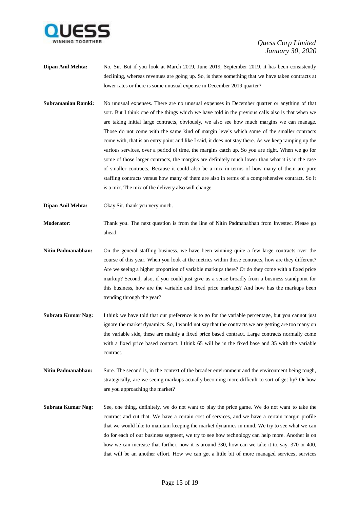

- **Dipan Anil Mehta:** No, Sir. But if you look at March 2019, June 2019, September 2019, it has been consistently declining, whereas revenues are going up. So, is there something that we have taken contracts at lower rates or there is some unusual expense in December 2019 quarter?
- **Subramanian Ramki:** No unusual expenses. There are no unusual expenses in December quarter or anything of that sort. But I think one of the things which we have told in the previous calls also is that when we are taking initial large contracts, obviously, we also see how much margins we can manage. Those do not come with the same kind of margin levels which some of the smaller contracts come with, that is an entry point and like I said, it does not stay there. As we keep ramping up the various services, over a period of time, the margins catch up. So you are right. When we go for some of those larger contracts, the margins are definitely much lower than what it is in the case of smaller contracts. Because it could also be a mix in terms of how many of them are pure staffing contracts versus how many of them are also in terms of a comprehensive contract. So it is a mix. The mix of the delivery also will change.
- **Dipan Anil Mehta:** Okay Sir, thank you very much.
- **Moderator:** Thank you. The next question is from the line of Nitin Padmanabhan from Investec. Please go ahead.
- **Nitin Padmanabhan:** On the general staffing business, we have been winning quite a few large contracts over the course of this year. When you look at the metrics within those contracts, how are they different? Are we seeing a higher proportion of variable markups there? Or do they come with a fixed price markup? Second, also, if you could just give us a sense broadly from a business standpoint for this business, how are the variable and fixed price markups? And how has the markups been trending through the year?
- **Subrata Kumar Nag:** I think we have told that our preference is to go for the variable percentage, but you cannot just ignore the market dynamics. So, I would not say that the contracts we are getting are too many on the variable side, these are mainly a fixed price based contract. Large contracts normally come with a fixed price based contract. I think 65 will be in the fixed base and 35 with the variable contract.
- **Nitin Padmanabhan:** Sure. The second is, in the context of the broader environment and the environment being tough, strategically, are we seeing markups actually becoming more difficult to sort of get by? Or how are you approaching the market?
- **Subrata Kumar Nag:** See, one thing, definitely, we do not want to play the price game. We do not want to take the contract and cut that. We have a certain cost of services, and we have a certain margin profile that we would like to maintain keeping the market dynamics in mind. We try to see what we can do for each of our business segment, we try to see how technology can help more. Another is on how we can increase that further, now it is around 330, how can we take it to, say, 370 or 400, that will be an another effort. How we can get a little bit of more managed services, services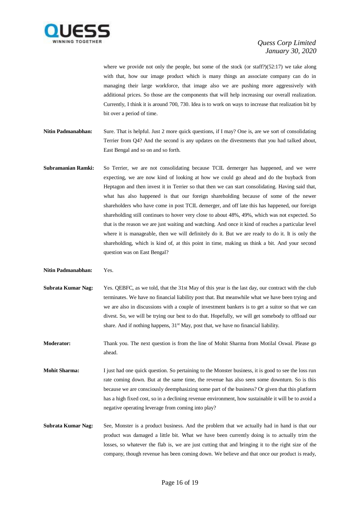

where we provide not only the people, but some of the stock (or staff?) $(52:17)$  we take along with that, how our image product which is many things an associate company can do in managing their large workforce, that image also we are pushing more aggressively with additional prices. So those are the components that will help increasing our overall realization. Currently, I think it is around 700, 730. Idea is to work on ways to increase that realization bit by bit over a period of time.

- **Nitin Padmanabhan:** Sure. That is helpful. Just 2 more quick questions, if I may? One is, are we sort of consolidating Terrier from Q4? And the second is any updates on the divestments that you had talked about, East Bengal and so on and so forth.
- **Subramanian Ramki:** So Terrier, we are not consolidating because TCIL demerger has happened, and we were expecting, we are now kind of looking at how we could go ahead and do the buyback from Heptagon and then invest it in Terrier so that then we can start consolidating. Having said that, what has also happened is that our foreign shareholding because of some of the newer shareholders who have come in post TCIL demerger, and off late this has happened, our foreign shareholding still continues to hover very close to about 48%, 49%, which was not expected. So that is the reason we are just waiting and watching. And once it kind of reaches a particular level where it is manageable, then we will definitely do it. But we are ready to do it. It is only the shareholding, which is kind of, at this point in time, making us think a bit. And your second question was on East Bengal?
- **Nitin Padmanabhan:** Yes.
- **Subrata Kumar Nag:** Yes. QEBFC, as we told, that the 31st May of this year is the last day, our contract with the club terminates. We have no financial liability post that. But meanwhile what we have been trying and we are also in discussions with a couple of investment bankers is to get a suitor so that we can divest. So, we will be trying our best to do that. Hopefully, we will get somebody to offload our share. And if nothing happens, 31<sup>st</sup> May, post that, we have no financial liability.
- **Moderator:** Thank you. The next question is from the line of Mohit Sharma from Motilal Oswal. Please go ahead.
- **Mohit Sharma:** I just had one quick question. So pertaining to the Monster business, it is good to see the loss run rate coming down. But at the same time, the revenue has also seen some downturn. So is this because we are consciously deemphasizing some part of the business? Or given that this platform has a high fixed cost, so in a declining revenue environment, how sustainable it will be to avoid a negative operating leverage from coming into play?
- **Subrata Kumar Nag:** See, Monster is a product business. And the problem that we actually had in hand is that our product was damaged a little bit. What we have been currently doing is to actually trim the losses, so whatever the flab is, we are just cutting that and bringing it to the right size of the company, though revenue has been coming down. We believe and that once our product is ready,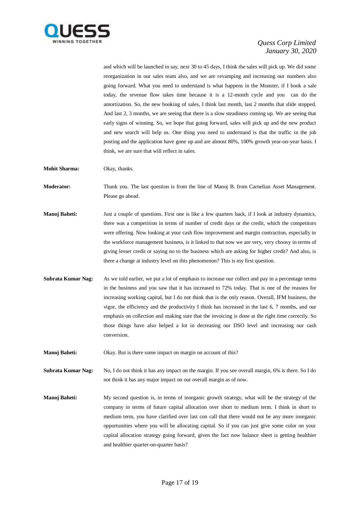

and which will be launched in say, next 30 to 45 days, I think the sales will pick up. We did some reorganization in our sales team also, and we are revamping and increasing our numbers also going forward. What you need to understand is what happens in the Monster, if I book a sale today, the revenue flow takes time because it is a 12-month cycle and you can do the amortization. So, the new booking of sales, I think last month, last 2 months that slide stopped. And last 2, 3 months, we are seeing that there is a slow steadiness coming up. We are seeing that early signs of winning. So, we hope that going forward, sales will pick up and the new product and new search will help us. One thing you need to understand is that the traffic in the job posting and the application have gone up and are almost 80%, 100% growth year-on-year basis. I think, we are sure that will reflect in sales.

**Mohit Sharma:** Okay, thanks.

**Moderator:** Thank you. The last question is from the line of Manoj B. from Carnelian Asset Management. Please go ahead.

- **Manoj Baheti:** Just a couple of questions. First one is like a few quarters back, if I look at industry dynamics, there was a competition in terms of number of credit days or the credit, which the competitors were offering. Now looking at your cash flow improvement and margin contraction, especially in the workforce management business, is it linked to that now we are very, very choosy in terms of giving lesser credit or saying no to the business which are asking for higher credit? And also, is there a change at industry level on this phenomenon? This is my first question.
- **Subrata Kumar Nag:** As we told earlier, we put a lot of emphasis to increase our collect and pay in a percentage terms in the business and you saw that it has increased to 72% today. That is one of the reasons for increasing working capital, but I do not think that is the only reason. Overall, IFM business, the vigor, the efficiency and the productivity I think has increased in the last 6, 7 months, and our emphasis on collection and making sure that the invoicing is done at the right time correctly. So those things have also helped a lot in decreasing our DSO level and increasing our cash conversion.
- **Manoj Baheti:** Okay. But is there some impact on margin on account of this?

**Subrata Kumar Nag:** No, I do not think it has any impact on the margin. If you see overall margin, 6% is there. So I do not think it has any major impact on our overall margin as of now.

**Manoj Baheti:** My second question is, in terms of inorganic growth strategy, what will be the strategy of the company in terms of future capital allocation over short to medium term. I think in short to medium term, you have clarified over last con call that there would not be any more inorganic opportunities where you will be allocating capital. So if you can just give some color on your capital allocation strategy going forward, given the fact now balance sheet is getting healthier and healthier quarter-on-quarter basis?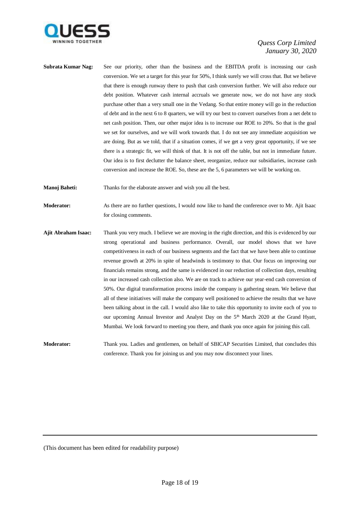

- **Subrata Kumar Nag:** See our priority, other than the business and the EBITDA profit is increasing our cash conversion. We set a target for this year for 50%, I think surely we will cross that. But we believe that there is enough runway there to push that cash conversion further. We will also reduce our debt position. Whatever cash internal accruals we generate now, we do not have any stock purchase other than a very small one in the Vedang. So that entire money will go in the reduction of debt and in the next 6 to 8 quarters, we will try our best to convert ourselves from a net debt to net cash position. Then, our other major idea is to increase our ROE to 20%. So that is the goal we set for ourselves, and we will work towards that. I do not see any immediate acquisition we are doing. But as we told, that if a situation comes, if we get a very great opportunity, if we see there is a strategic fit, we will think of that. It is not off the table, but not in immediate future. Our idea is to first declutter the balance sheet, reorganize, reduce our subsidiaries, increase cash conversion and increase the ROE. So, these are the 5, 6 parameters we will be working on.
- **Manoj Baheti:** Thanks for the elaborate answer and wish you all the best.

**Moderator:** As there are no further questions, I would now like to hand the conference over to Mr. Ajit Isaac for closing comments.

**Ajit Abraham Isaac:** Thank you very much. I believe we are moving in the right direction, and this is evidenced by our strong operational and business performance. Overall, our model shows that we have competitiveness in each of our business segments and the fact that we have been able to continue revenue growth at 20% in spite of headwinds is testimony to that. Our focus on improving our financials remains strong, and the same is evidenced in our reduction of collection days, resulting in our increased cash collection also. We are on track to achieve our year-end cash conversion of 50%. Our digital transformation process inside the company is gathering steam. We believe that all of these initiatives will make the company well positioned to achieve the results that we have been talking about in the call. I would also like to take this opportunity to invite each of you to our upcoming Annual Investor and Analyst Day on the 5th March 2020 at the Grand Hyatt, Mumbai. We look forward to meeting you there, and thank you once again for joining this call.

**Moderator:** Thank you. Ladies and gentlemen, on behalf of SBICAP Securities Limited, that concludes this conference. Thank you for joining us and you may now disconnect your lines.

(This document has been edited for readability purpose)